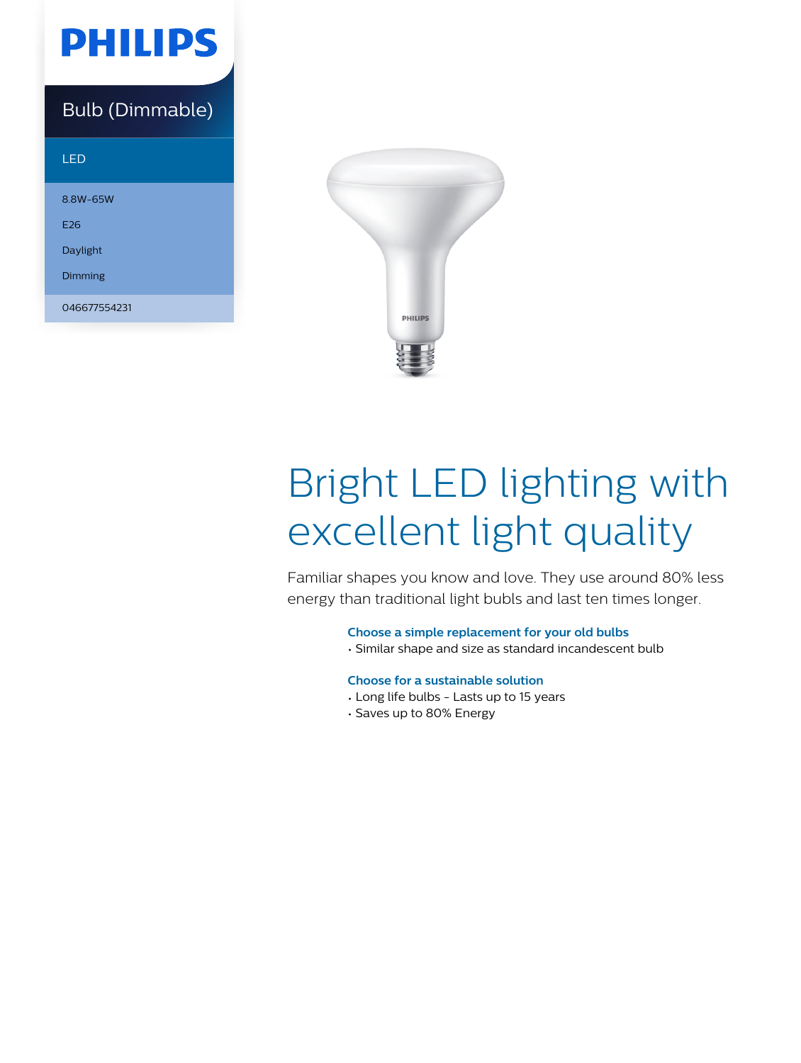

### Bulb (Dimmable)

| LED             |  |
|-----------------|--|
| 8.8W-65W        |  |
| F <sub>26</sub> |  |
| Daylight        |  |
| Dimming         |  |
| 046677554231    |  |



# Bright LED lighting with excellent light quality

Familiar shapes you know and love. They use around 80% less energy than traditional light bubls and last ten times longer.

**Choose a simple replacement for your old bulbs**

• Similar shape and size as standard incandescent bulb

#### **Choose for a sustainable solution**

- Long life bulbs Lasts up to 15 years
- Saves up to 80% Energy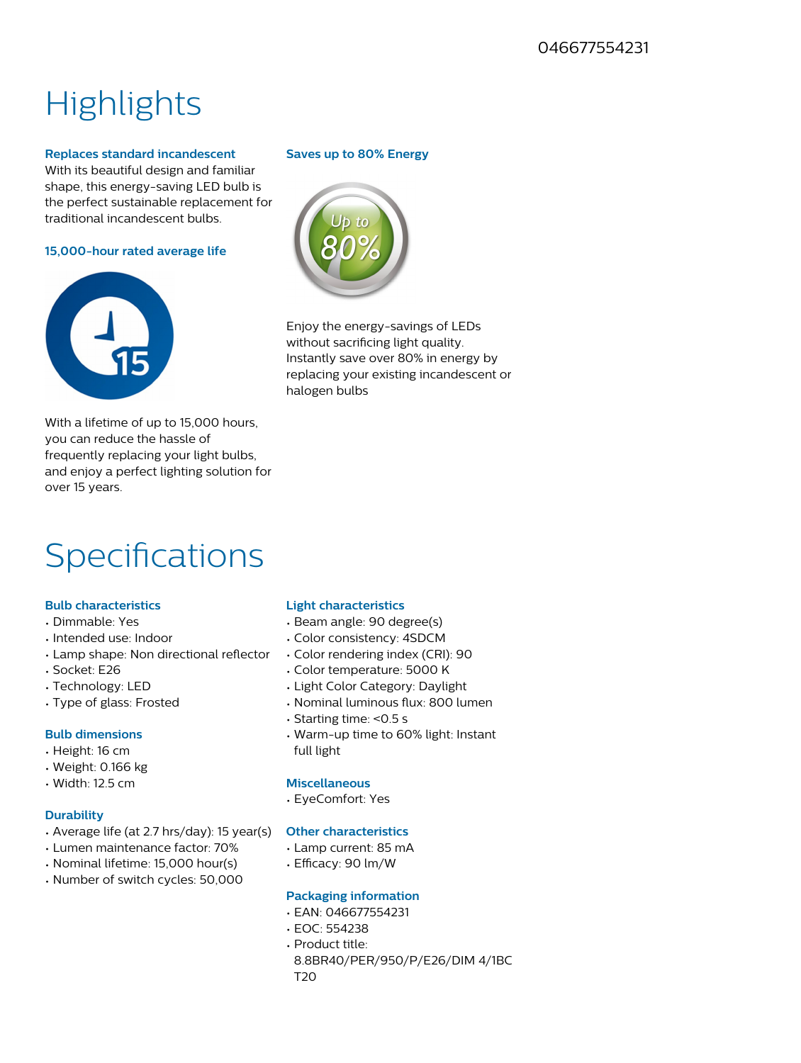## **Highlights**

#### **Replaces standard incandescent**

With its beautiful design and familiar shape, this energy-saving LED bulb is the perfect sustainable replacement for traditional incandescent bulbs.

**15,000-hour rated average life**



With a lifetime of up to 15,000 hours, you can reduce the hassle of frequently replacing your light bulbs, and enjoy a perfect lighting solution for over 15 years.

### Specifications

#### **Bulb characteristics**

- Dimmable: Yes
- Intended use: Indoor
- Lamp shape: Non directional reflector
- Socket: E26
- Technology: LED
- Type of glass: Frosted

#### **Bulb dimensions**

- Height: 16 cm
- Weight: 0.166 kg
- Width: 12.5 cm

#### **Durability**

- Average life (at 2.7 hrs/day): 15 year(s)
- Lumen maintenance factor: 70%
- Nominal lifetime: 15,000 hour(s)
- Number of switch cycles: 50,000

#### **Saves up to 80% Energy**



Enjoy the energy-savings of LEDs without sacrificing light quality. Instantly save over 80% in energy by replacing your existing incandescent or halogen bulbs

#### **Light characteristics**

- Beam angle: 90 degree(s)
- Color consistency: 4SDCM
- Color rendering index (CRI): 90
- Color temperature: 5000 K
- Light Color Category: Daylight
- Nominal luminous flux: 800 lumen
- Starting time: <0.5 s
- Warm-up time to 60% light: Instant full light

#### **Miscellaneous**

• EyeComfort: Yes

#### **Other characteristics**

- Lamp current: 85 mA
- Efficacy: 90 lm/W

#### **Packaging information**

- EAN: 046677554231
- EOC: 554238 • Product title: 8.8BR40/PER/950/P/E26/DIM 4/1BC T20